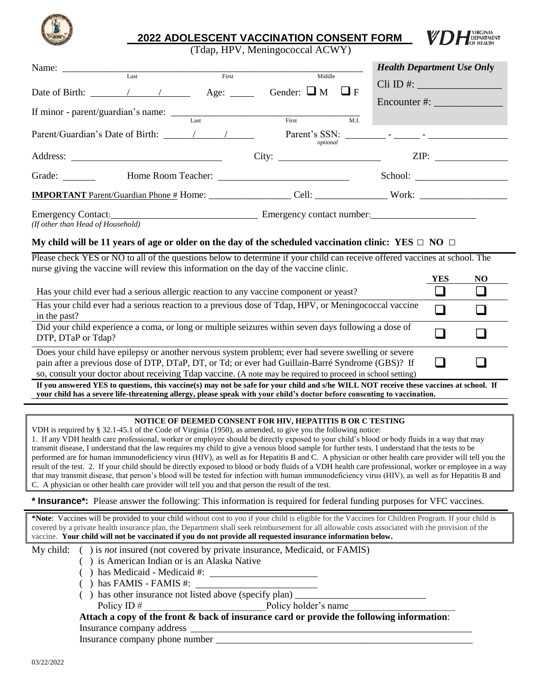

# **2022 ADOLESCENT VACCINATION CONSENT FORM**

(Tdap, HPV, Meningococcal ACWY)

|                                   |      |       |                                                                              | <b>Health Department Use Only</b>     |
|-----------------------------------|------|-------|------------------------------------------------------------------------------|---------------------------------------|
|                                   | Last | First | Middle                                                                       |                                       |
|                                   |      |       | Date of Birth: $\sqrt{ }$ / $\qquad$ Age: $\qquad$ Gender: $\Box M$ $\Box F$ | $\overline{\text{Cli}}\text{ID}\#:\_$ |
|                                   |      |       |                                                                              |                                       |
|                                   |      |       |                                                                              |                                       |
|                                   |      | Last  | First                                                                        | M.I.                                  |
|                                   |      |       | optional                                                                     |                                       |
|                                   |      |       |                                                                              |                                       |
|                                   |      |       | School:                                                                      |                                       |
|                                   |      |       |                                                                              |                                       |
| (If other than Head of Household) |      |       | Emergency Contact: Emergency contact number: Emergency contact number:       |                                       |

## **My child will be 11 years of age or older on the day of the scheduled vaccination clinic: YES □ NO □**

Please check YES or NO to all of the questions below to determine if your child can receive offered vaccines at school. The nurse giving the vaccine will review this information on the day of the vaccine clinic.

|                                                                                                                                                                                                                                                                                                                         | YES | NO |
|-------------------------------------------------------------------------------------------------------------------------------------------------------------------------------------------------------------------------------------------------------------------------------------------------------------------------|-----|----|
| Has your child ever had a serious allergic reaction to any vaccine component or yeast?                                                                                                                                                                                                                                  |     |    |
| Has your child ever had a serious reaction to a previous dose of Tdap, HPV, or Meningococcal vaccine<br>in the past?                                                                                                                                                                                                    |     |    |
| Did your child experience a coma, or long or multiple seizures within seven days following a dose of<br>DTP, DTaP or Tdap?                                                                                                                                                                                              |     |    |
| Does your child have epilepsy or another nervous system problem; ever had severe swelling or severe<br>pain after a previous dose of DTP, DTaP, DT, or Td; or ever had Guillain-Barré Syndrome (GBS)? If<br>so, consult your doctor about receiving Tdap vaccine. (A note may be required to proceed in school setting) |     |    |

**If you answered YES to questions, this vaccine(s) may not be safe for your child and s/he WILL NOT receive these vaccines at school. If your child has a severe life-threatening allergy, please speak with your child's doctor before consenting to vaccination.**

#### **NOTICE OF DEEMED CONSENT FOR HIV, HEPATITIS B OR C TESTING**

VDH is required by § 32.1-45.1 of the Code of Virginia (1950), as amended, to give you the following notice: 1. If any VDH health care professional, worker or employee should be directly exposed to your child's blood or body fluids in a way that may transmit disease, I understand that the law requires my child to give a venous blood sample for further tests. I understand that the tests to be performed are for human immunodeficiency virus (HIV), as well as for Hepatitis B and C. A physician or other health care provider will tell you the result of the test. 2. If your child should be directly exposed to blood or body fluids of a VDH health care professional, worker or employee in a way that may transmit disease, that person's blood will be tested for infection with human immunodeficiency virus (HIV), as well as for Hepatitis B and C. A physician or other health care provider will tell you and that person the result of the test.

#### **\* Insurance\*:** Please answer the following: This information is required for federal funding purposes for VFC vaccines.

**\*Note**: Vaccines will be provided to your child without cost to you if your child is eligible for the Vaccines for Children Program. If your child is covered by a private health insurance plan, the Department shall seek reimbursement for all allowable costs associated with the provision of the vaccine. **Your child will not be vaccinated if you do not provide all requested insurance information below.**

## My child: ( ) is *not* insured (not covered by private insurance, Medicaid, or FAMIS)

- ( ) is American Indian or is an Alaska Native
- ( ) has Medicaid Medicaid #:
- ( ) has FAMIS FAMIS #:
- $($ ) has other insurance not listed above (specify plan)  $\Box$ 
	- Policy ID #  $\blacksquare$  Policy holder's name

#### **Attach a copy of the front & back of insurance card or provide the following information**:

Insurance company address \_

Insurance company phone number \_\_\_\_\_\_\_\_\_\_\_\_\_\_\_\_\_\_\_\_\_\_\_\_\_\_\_\_\_\_\_\_\_\_\_\_\_\_\_\_\_\_\_\_\_\_\_\_\_\_\_\_\_